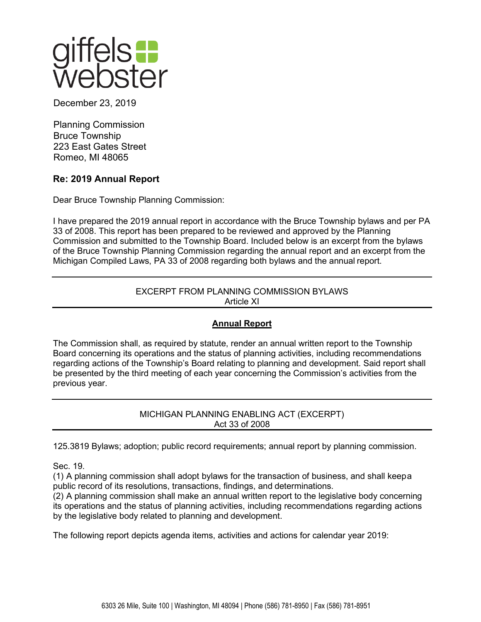

December 23, 2019

Planning Commission Bruce Township 223 East Gates Street Romeo, MI 48065

# **Re: 2019 Annual Report**

Dear Bruce Township Planning Commission:

I have prepared the 2019 annual report in accordance with the Bruce Township bylaws and per PA 33 of 2008. This report has been prepared to be reviewed and approved by the Planning Commission and submitted to the Township Board. Included below is an excerpt from the bylaws of the Bruce Township Planning Commission regarding the annual report and an excerpt from the Michigan Compiled Laws, PA 33 of 2008 regarding both bylaws and the annual report.

## EXCERPT FROM PLANNING COMMISSION BYLAWS Article XI

# **Annual Report**

The Commission shall, as required by statute, render an annual written report to the Township Board concerning its operations and the status of planning activities, including recommendations regarding actions of the Township's Board relating to planning and development. Said report shall be presented by the third meeting of each year concerning the Commission's activities from the previous year.

> MICHIGAN PLANNING ENABLING ACT (EXCERPT) Act 33 of 2008

125.3819 Bylaws; adoption; public record requirements; annual report by planning commission.

Sec. 19.

(1) A planning commission shall adopt bylaws for the transaction of business, and shall keepa public record of its resolutions, transactions, findings, and determinations.

(2) A planning commission shall make an annual written report to the legislative body concerning its operations and the status of planning activities, including recommendations regarding actions by the legislative body related to planning and development.

The following report depicts agenda items, activities and actions for calendar year 2019: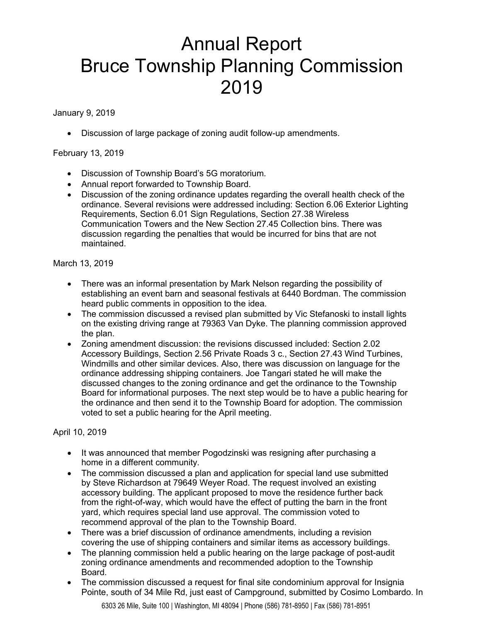# Annual Report Bruce Township Planning Commission 2019

January 9, 2019

• Discussion of large package of zoning audit follow-up amendments.

## February 13, 2019

- Discussion of Township Board's 5G moratorium.
- Annual report forwarded to Township Board.
- Discussion of the zoning ordinance updates regarding the overall health check of the ordinance. Several revisions were addressed including: Section 6.06 Exterior Lighting Requirements, Section 6.01 Sign Regulations, Section 27.38 Wireless Communication Towers and the New Section 27.45 Collection bins. There was discussion regarding the penalties that would be incurred for bins that are not maintained.

#### March 13, 2019

- There was an informal presentation by Mark Nelson regarding the possibility of establishing an event barn and seasonal festivals at 6440 Bordman. The commission heard public comments in opposition to the idea.
- The commission discussed a revised plan submitted by Vic Stefanoski to install lights on the existing driving range at 79363 Van Dyke. The planning commission approved the plan.
- Zoning amendment discussion: the revisions discussed included: Section 2.02 Accessory Buildings, Section 2.56 Private Roads 3 c., Section 27.43 Wind Turbines, Windmills and other similar devices. Also, there was discussion on language for the ordinance addressing shipping containers. Joe Tangari stated he will make the discussed changes to the zoning ordinance and get the ordinance to the Township Board for informational purposes. The next step would be to have a public hearing for the ordinance and then send it to the Township Board for adoption. The commission voted to set a public hearing for the April meeting.

## April 10, 2019

- It was announced that member Pogodzinski was resigning after purchasing a home in a different community.
- The commission discussed a plan and application for special land use submitted by Steve Richardson at 79649 Weyer Road. The request involved an existing accessory building. The applicant proposed to move the residence further back from the right-of-way, which would have the effect of putting the barn in the front yard, which requires special land use approval. The commission voted to recommend approval of the plan to the Township Board.
- There was a brief discussion of ordinance amendments, including a revision covering the use of shipping containers and similar items as accessory buildings.
- The planning commission held a public hearing on the large package of post-audit zoning ordinance amendments and recommended adoption to the Township Board.
- The commission discussed a request for final site condominium approval for Insignia Pointe, south of 34 Mile Rd, just east of Campground, submitted by Cosimo Lombardo. In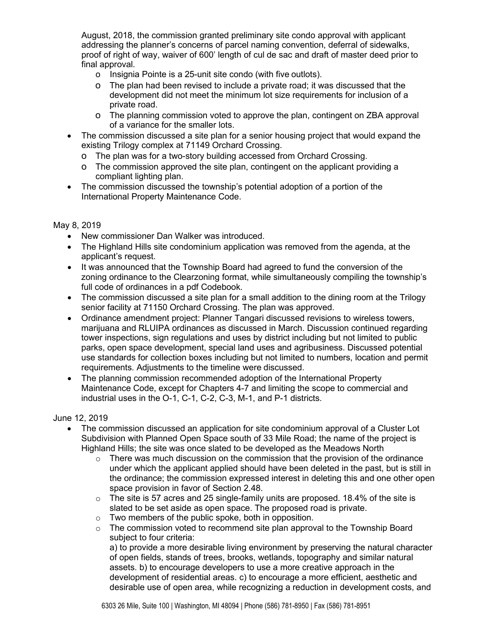August, 2018, the commission granted preliminary site condo approval with applicant addressing the planner's concerns of parcel naming convention, deferral of sidewalks, proof of right of way, waiver of 600' length of cul de sac and draft of master deed prior to final approval.

- o Insignia Pointe is a 25-unit site condo (with five outlots).
- o The plan had been revised to include a private road; it was discussed that the development did not meet the minimum lot size requirements for inclusion of a private road.
- o The planning commission voted to approve the plan, contingent on ZBA approval of a variance for the smaller lots.
- The commission discussed a site plan for a senior housing project that would expand the existing Trilogy complex at 71149 Orchard Crossing.
	- o The plan was for a two-story building accessed from Orchard Crossing.
	- o The commission approved the site plan, contingent on the applicant providing a compliant lighting plan.
- The commission discussed the township's potential adoption of a portion of the International Property Maintenance Code.

#### May 8, 2019

- New commissioner Dan Walker was introduced.
- The Highland Hills site condominium application was removed from the agenda, at the applicant's request.
- It was announced that the Township Board had agreed to fund the conversion of the zoning ordinance to the Clearzoning format, while simultaneously compiling the township's full code of ordinances in a pdf Codebook.
- The commission discussed a site plan for a small addition to the dining room at the Trilogy senior facility at 71150 Orchard Crossing. The plan was approved.
- Ordinance amendment project: Planner Tangari discussed revisions to wireless towers, marijuana and RLUIPA ordinances as discussed in March. Discussion continued regarding tower inspections, sign regulations and uses by district including but not limited to public parks, open space development, special land uses and agribusiness. Discussed potential use standards for collection boxes including but not limited to numbers, location and permit requirements. Adjustments to the timeline were discussed.
- The planning commission recommended adoption of the International Property Maintenance Code, except for Chapters 4-7 and limiting the scope to commercial and industrial uses in the O-1, C-1, C-2, C-3, M-1, and P-1 districts.

## June 12, 2019

- The commission discussed an application for site condominium approval of a Cluster Lot Subdivision with Planned Open Space south of 33 Mile Road; the name of the project is Highland Hills; the site was once slated to be developed as the Meadows North
	- $\circ$  There was much discussion on the commission that the provision of the ordinance under which the applicant applied should have been deleted in the past, but is still in the ordinance; the commission expressed interest in deleting this and one other open space provision in favor of Section 2.48.
	- $\circ$  The site is 57 acres and 25 single-family units are proposed. 18.4% of the site is slated to be set aside as open space. The proposed road is private.
	- $\circ$  Two members of the public spoke, both in opposition.
	- $\circ$  The commission voted to recommend site plan approval to the Township Board subject to four criteria:

a) to provide a more desirable living environment by preserving the natural character of open fields, stands of trees, brooks, wetlands, topography and similar natural assets. b) to encourage developers to use a more creative approach in the development of residential areas. c) to encourage a more efficient, aesthetic and desirable use of open area, while recognizing a reduction in development costs, and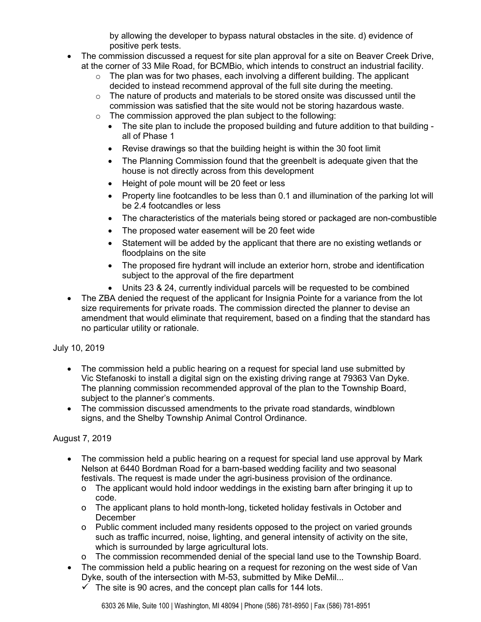by allowing the developer to bypass natural obstacles in the site. d) evidence of positive perk tests.

- The commission discussed a request for site plan approval for a site on Beaver Creek Drive, at the corner of 33 Mile Road, for BCMBio, which intends to construct an industrial facility.
	- $\circ$  The plan was for two phases, each involving a different building. The applicant decided to instead recommend approval of the full site during the meeting.
	- $\circ$  The nature of products and materials to be stored onsite was discussed until the commission was satisfied that the site would not be storing hazardous waste.
	- $\circ$  The commission approved the plan subject to the following:
		- The site plan to include the proposed building and future addition to that building all of Phase 1
		- Revise drawings so that the building height is within the 30 foot limit
		- The Planning Commission found that the greenbelt is adequate given that the house is not directly across from this development
		- Height of pole mount will be 20 feet or less
		- Property line footcandles to be less than 0.1 and illumination of the parking lot will be 2.4 footcandles or less
		- The characteristics of the materials being stored or packaged are non-combustible
		- The proposed water easement will be 20 feet wide
		- Statement will be added by the applicant that there are no existing wetlands or floodplains on the site
		- The proposed fire hydrant will include an exterior horn, strobe and identification subject to the approval of the fire department
		- Units 23 & 24, currently individual parcels will be requested to be combined
- The ZBA denied the request of the applicant for Insignia Pointe for a variance from the lot size requirements for private roads. The commission directed the planner to devise an amendment that would eliminate that requirement, based on a finding that the standard has no particular utility or rationale.

July 10, 2019

- The commission held a public hearing on a request for special land use submitted by Vic Stefanoski to install a digital sign on the existing driving range at 79363 Van Dyke. The planning commission recommended approval of the plan to the Township Board, subject to the planner's comments.
- The commission discussed amendments to the private road standards, windblown signs, and the Shelby Township Animal Control Ordinance.

# August 7, 2019

- The commission held a public hearing on a request for special land use approval by Mark Nelson at 6440 Bordman Road for a barn-based wedding facility and two seasonal festivals. The request is made under the agri-business provision of the ordinance.
	- o The applicant would hold indoor weddings in the existing barn after bringing it up to code.
	- o The applicant plans to hold month-long, ticketed holiday festivals in October and December
	- o Public comment included many residents opposed to the project on varied grounds such as traffic incurred, noise, lighting, and general intensity of activity on the site, which is surrounded by large agricultural lots.
	- o The commission recommended denial of the special land use to the Township Board.
- The commission held a public hearing on a request for rezoning on the west side of Van Dyke, south of the intersection with M-53, submitted by Mike DeMil...
	- $\checkmark$  The site is 90 acres, and the concept plan calls for 144 lots.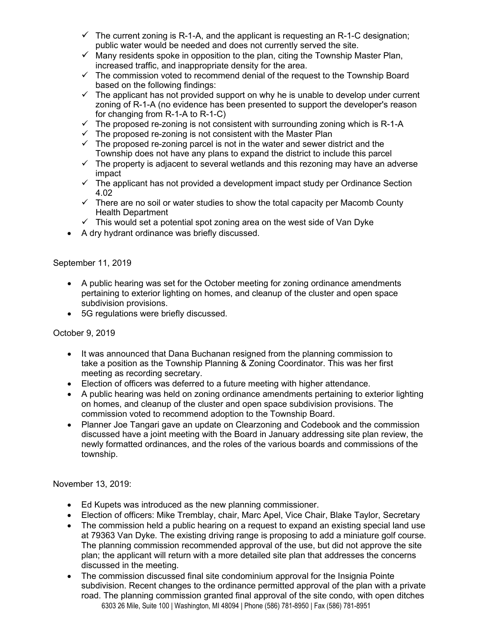- $\checkmark$  The current zoning is R-1-A, and the applicant is requesting an R-1-C designation; public water would be needed and does not currently served the site.
- $\checkmark$  Many residents spoke in opposition to the plan, citing the Township Master Plan, increased traffic, and inappropriate density for the area.
- $\checkmark$  The commission voted to recommend denial of the request to the Township Board based on the following findings:
- $\checkmark$  The applicant has not provided support on why he is unable to develop under current zoning of R-1-A (no evidence has been presented to support the developer's reason for changing from R-1-A to R-1-C)
- $\checkmark$  The proposed re-zoning is not consistent with surrounding zoning which is R-1-A
- $\checkmark$  The proposed re-zoning is not consistent with the Master Plan
- $\checkmark$  The proposed re-zoning parcel is not in the water and sewer district and the Township does not have any plans to expand the district to include this parcel
- $\checkmark$  The property is adjacent to several wetlands and this rezoning may have an adverse impact
- $\checkmark$  The applicant has not provided a development impact study per Ordinance Section 4.02
- $\checkmark$  There are no soil or water studies to show the total capacity per Macomb County Health Department
- $\checkmark$  This would set a potential spot zoning area on the west side of Van Dyke
- A dry hydrant ordinance was briefly discussed.

#### September 11, 2019

- A public hearing was set for the October meeting for zoning ordinance amendments pertaining to exterior lighting on homes, and cleanup of the cluster and open space subdivision provisions.
- 5G regulations were briefly discussed.

## October 9, 2019

- It was announced that Dana Buchanan resigned from the planning commission to take a position as the Township Planning & Zoning Coordinator. This was her first meeting as recording secretary.
- Election of officers was deferred to a future meeting with higher attendance.
- A public hearing was held on zoning ordinance amendments pertaining to exterior lighting on homes, and cleanup of the cluster and open space subdivision provisions. The commission voted to recommend adoption to the Township Board.
- Planner Joe Tangari gave an update on Clearzoning and Codebook and the commission discussed have a joint meeting with the Board in January addressing site plan review, the newly formatted ordinances, and the roles of the various boards and commissions of the township.

November 13, 2019:

- Ed Kupets was introduced as the new planning commissioner.
- Election of officers: Mike Tremblay, chair, Marc Apel, Vice Chair, Blake Taylor, Secretary
- The commission held a public hearing on a request to expand an existing special land use at 79363 Van Dyke. The existing driving range is proposing to add a miniature golf course. The planning commission recommended approval of the use, but did not approve the site plan; the applicant will return with a more detailed site plan that addresses the concerns discussed in the meeting.
- 6303 26 Mile, Suite 100 | Washington, MI 48094 | Phone (586) 781-8950 | Fax (586) 781-8951 • The commission discussed final site condominium approval for the Insignia Pointe subdivision. Recent changes to the ordinance permitted approval of the plan with a private road. The planning commission granted final approval of the site condo, with open ditches